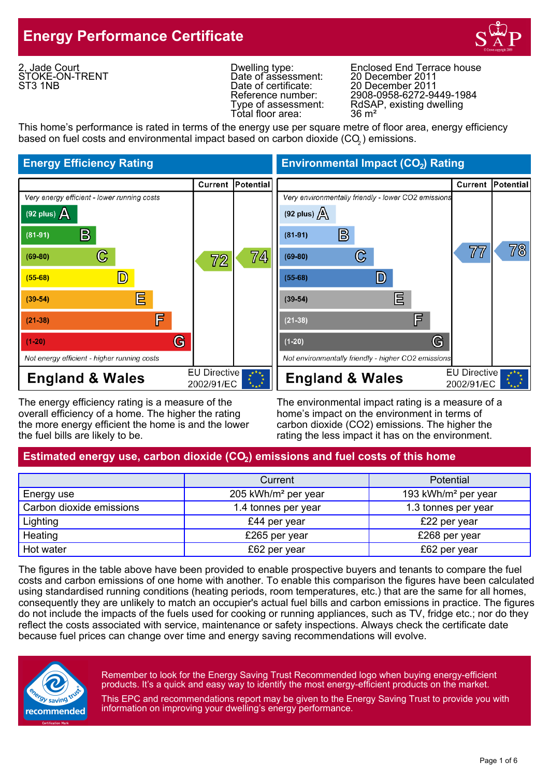

2, Jade Court STOKE-ON-TRENT ST3 1NB

Date of assessment:<br>Date of certificate: Total floor area:

Dwelling type: Enclosed End Terrace house<br>Date of assessment: 20 December 2011 20 December 2011 Reference number: 2908-0958-6272-9449-1984 Type of assessment: RdSAP, existing dwelling<br>Total floor area: 36 m<sup>2</sup>

This home's performance is rated in terms of the energy use per square metre of floor area, energy efficiency based on fuel costs and environmental impact based on carbon dioxide (CO $_{\rm 2}$ ) emissions.



The energy efficiency rating is a measure of the The environmental impact rating is a measure of a overall efficiency of a home. The higher the rating home's impact on the environment in terms of the more energy efficient the home is and the lower carbon dioxide (CO2) emissions. The higher the the fuel bills are likely to be. The rating the less impact it has on the environment.

**Energy Efficiency Rating Environmental Impact (CO<sub>2</sub>) Rating** 



# Estimated energy use, carbon dioxide (CO<sub>2</sub>) emissions and fuel costs of this home

|                          | Current                         | <b>Potential</b>                |  |
|--------------------------|---------------------------------|---------------------------------|--|
| Energy use               | 205 kWh/m <sup>2</sup> per year | 193 kWh/m <sup>2</sup> per year |  |
| Carbon dioxide emissions | 1.4 tonnes per year             | 1.3 tonnes per year             |  |
| Lighting                 | £44 per year                    | £22 per year                    |  |
| Heating                  | £265 per year                   | £268 per year                   |  |
| Hot water                | £62 per year                    | £62 per year                    |  |

The figures in the table above have been provided to enable prospective buyers and tenants to compare the fuel costs and carbon emissions of one home with another. To enable this comparison the figures have been calculated using standardised running conditions (heating periods, room temperatures, etc.) that are the same for all homes, consequently they are unlikely to match an occupier's actual fuel bills and carbon emissions in practice. The figures do not include the impacts of the fuels used for cooking or running appliances, such as TV, fridge etc.; nor do they reflect the costs associated with service, maintenance or safety inspections. Always check the certificate date because fuel prices can change over time and energy saving recommendations will evolve.



Remember to look for the Energy Saving Trust Recommended logo when buying energy-efficient products. It's a quick and easy way to identify the most energy-efficient products on the market.

This EPC and recommendations report may be given to the Energy Saving Trust to provide you with information on improving your dwelling's energy performance.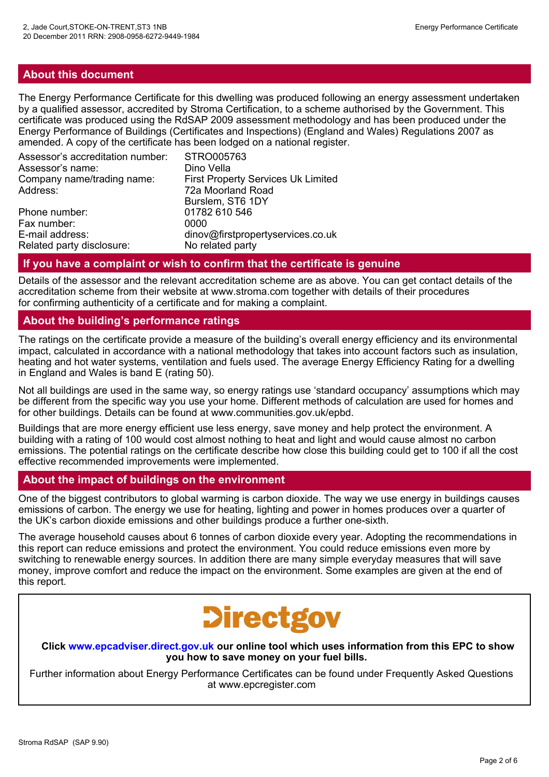#### **About this document**

The Energy Performance Certificate for this dwelling was produced following an energy assessment undertaken by a qualified assessor, accredited by Stroma Certification, to a scheme authorised by the Government. This certificate was produced using the RdSAP 2009 assessment methodology and has been produced under the Energy Performance of Buildings (Certificates and Inspections) (England and Wales) Regulations 2007 as amended. A copy of the certificate has been lodged on a national register.

| Assessor's accreditation number: | STRO005763                                |
|----------------------------------|-------------------------------------------|
| Assessor's name:                 | Dino Vella                                |
| Company name/trading name:       | <b>First Property Services Uk Limited</b> |
| Address:                         | 72a Moorland Road                         |
|                                  | Burslem, ST6 1DY                          |
| Phone number:                    | 01782 610 546                             |
| Fax number:                      | 0000                                      |
| E-mail address:                  | dinov@firstpropertyservices.co.uk         |
| Related party disclosure:        | No related party                          |

#### **If you have a complaint or wish to confirm that the certificate is genuine**

Details of the assessor and the relevant accreditation scheme are as above. You can get contact details of the accreditation scheme from their website at www.stroma.com together with details of their procedures for confirming authenticity of a certificate and for making a complaint.

#### **About the building's performance ratings**

The ratings on the certificate provide a measure of the building's overall energy efficiency and its environmental impact, calculated in accordance with a national methodology that takes into account factors such as insulation, heating and hot water systems, ventilation and fuels used. The average Energy Efficiency Rating for a dwelling in England and Wales is band E (rating 50).

Not all buildings are used in the same way, so energy ratings use 'standard occupancy' assumptions which may be different from the specific way you use your home. Different methods of calculation are used for homes and for other buildings. Details can be found at www.communities.gov.uk/epbd.

Buildings that are more energy efficient use less energy, save money and help protect the environment. A building with a rating of 100 would cost almost nothing to heat and light and would cause almost no carbon emissions. The potential ratings on the certificate describe how close this building could get to 100 if all the cost effective recommended improvements were implemented.

#### **About the impact of buildings on the environment**

One of the biggest contributors to global warming is carbon dioxide. The way we use energy in buildings causes emissions of carbon. The energy we use for heating, lighting and power in homes produces over a quarter of the UK's carbon dioxide emissions and other buildings produce a further one-sixth.

The average household causes about 6 tonnes of carbon dioxide every year. Adopting the recommendations in this report can reduce emissions and protect the environment. You could reduce emissions even more by switching to renewable energy sources. In addition there are many simple everyday measures that will save money, improve comfort and reduce the impact on the environment. Some examples are given at the end of this report.

# **Directgov**

**Click www.epcadviser.direct.gov.uk our online tool which uses information from this EPC to show you how to save money on your fuel bills.**

Further information about Energy Performance Certificates can be found under Frequently Asked Questions at www.epcregister.com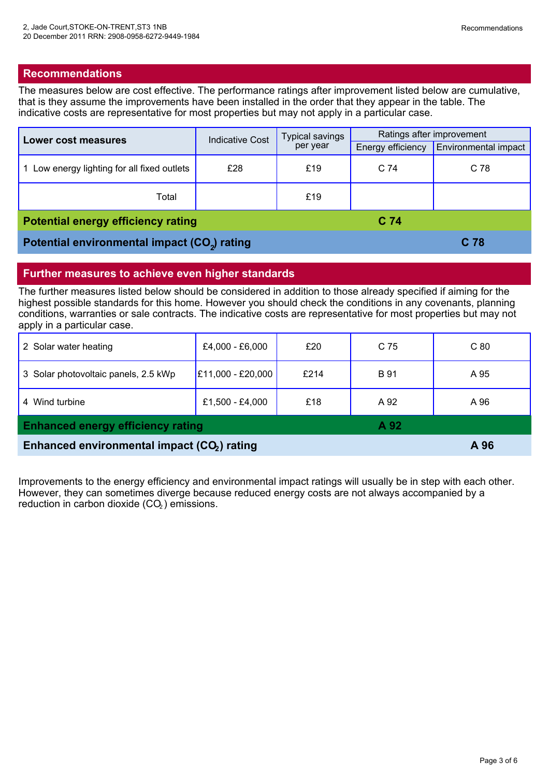#### **Recommendations**

The measures below are cost effective. The performance ratings after improvement listed below are cumulative, that is they assume the improvements have been installed in the order that they appear in the table. The indicative costs are representative for most properties but may not apply in a particular case.

| Lower cost measures                                      | <b>Indicative Cost</b> | <b>Typical savings</b><br>per year | Ratings after improvement |                      |
|----------------------------------------------------------|------------------------|------------------------------------|---------------------------|----------------------|
|                                                          |                        |                                    | Energy efficiency         | Environmental impact |
| Low energy lighting for all fixed outlets                | £28                    | £19                                | C <sub>74</sub>           | C 78                 |
| Total                                                    |                        | £19                                |                           |                      |
| <b>Potential energy efficiency rating</b>                |                        |                                    | C <sub>74</sub>           |                      |
| Potential environmental impact (CO <sub>2</sub> ) rating |                        |                                    |                           | C 78                 |

#### **Further measures to achieve even higher standards**

The further measures listed below should be considered in addition to those already specified if aiming for the highest possible standards for this home. However you should check the conditions in any covenants, planning conditions, warranties or sale contracts. The indicative costs are representative for most properties but may not apply in a particular case.

| Enhanced environmental impact (CO <sub>2</sub> ) rating |                   |      |             | A 96            |
|---------------------------------------------------------|-------------------|------|-------------|-----------------|
| <b>Enhanced energy efficiency rating</b><br>A 92        |                   |      |             |                 |
| 4 Wind turbine                                          | £1,500 - £4,000   | £18  | A 92        | A 96            |
| 3 Solar photovoltaic panels, 2.5 kWp                    | E11,000 - £20,000 | £214 | <b>B</b> 91 | A 95            |
| 2 Solar water heating                                   | £4,000 - £6,000   | £20  | C 75        | C <sub>80</sub> |

Improvements to the energy efficiency and environmental impact ratings will usually be in step with each other. However, they can sometimes diverge because reduced energy costs are not always accompanied by a reduction in carbon dioxide (CO<sub>2</sub>) emissions.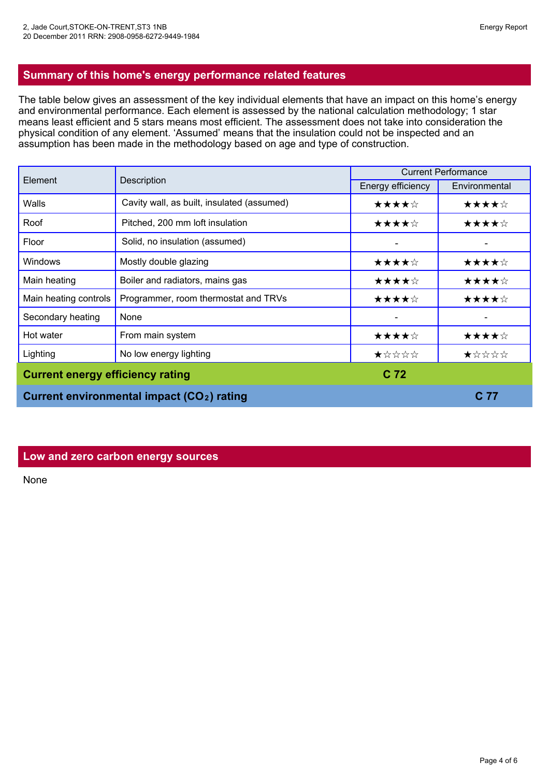### **Summary of this home's energy performance related features**

The table below gives an assessment of the key individual elements that have an impact on this home's energy and environmental performance. Each element is assessed by the national calculation methodology; 1 star means least efficient and 5 stars means most efficient. The assessment does not take into consideration the physical condition of any element. 'Assumed' means that the insulation could not be inspected and an assumption has been made in the methodology based on age and type of construction.

| Element                                 | Description                                            | <b>Current Performance</b> |               |
|-----------------------------------------|--------------------------------------------------------|----------------------------|---------------|
|                                         |                                                        | Energy efficiency          | Environmental |
| Walls                                   | Cavity wall, as built, insulated (assumed)             | ★★★★☆                      | ★★★★☆         |
| Roof                                    | Pitched, 200 mm loft insulation                        | ★★★★☆                      | ★★★★☆         |
| Floor                                   | Solid, no insulation (assumed)                         |                            |               |
| <b>Windows</b>                          | Mostly double glazing                                  | ★★★★☆                      | ★★★★☆         |
| Main heating                            | Boiler and radiators, mains gas                        | ★★★★☆                      | ★★★★☆         |
| Main heating controls                   | Programmer, room thermostat and TRVs                   | ★★★★☆                      | ★★★★☆         |
| Secondary heating                       | None                                                   |                            |               |
| Hot water                               | From main system                                       | ★★★★☆                      | ★★★★☆         |
| Lighting                                | No low energy lighting                                 | ★☆☆☆☆                      | ★☆☆☆☆         |
| <b>Current energy efficiency rating</b> |                                                        | C <sub>72</sub>            |               |
|                                         | Current environmental impact (CO <sub>2</sub> ) rating |                            | C 77          |

#### **Low and zero carbon energy sources**

None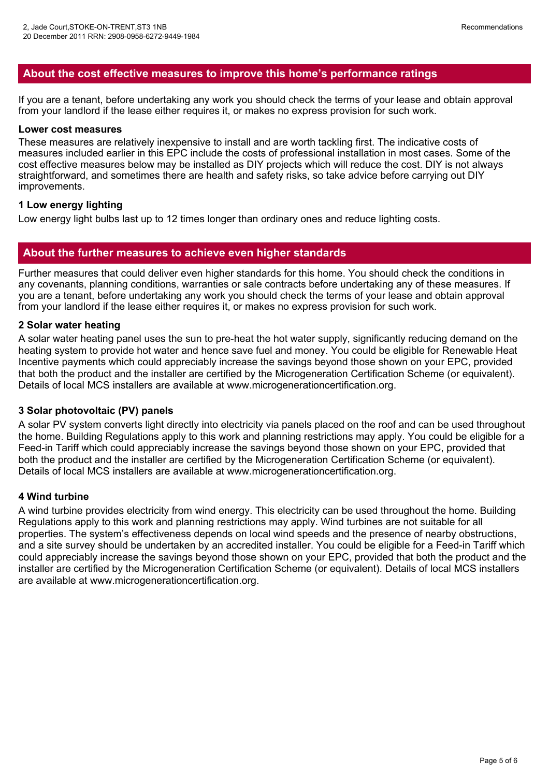### **About the cost effective measures to improve this home's performance ratings**

If you are a tenant, before undertaking any work you should check the terms of your lease and obtain approval from your landlord if the lease either requires it, or makes no express provision for such work.

#### **Lower cost measures**

These measures are relatively inexpensive to install and are worth tackling first. The indicative costs of measures included earlier in this EPC include the costs of professional installation in most cases. Some of the cost effective measures below may be installed as DIY projects which will reduce the cost. DIY is not always straightforward, and sometimes there are health and safety risks, so take advice before carrying out DIY improvements.

#### **1 Low energy lighting**

Low energy light bulbs last up to 12 times longer than ordinary ones and reduce lighting costs.

#### **About the further measures to achieve even higher standards**

Further measures that could deliver even higher standards for this home. You should check the conditions in any covenants, planning conditions, warranties or sale contracts before undertaking any of these measures. If you are a tenant, before undertaking any work you should check the terms of your lease and obtain approval from your landlord if the lease either requires it, or makes no express provision for such work.

#### **2 Solar water heating**

A solar water heating panel uses the sun to pre-heat the hot water supply, significantly reducing demand on the heating system to provide hot water and hence save fuel and money. You could be eligible for Renewable Heat Incentive payments which could appreciably increase the savings beyond those shown on your EPC, provided that both the product and the installer are certified by the Microgeneration Certification Scheme (or equivalent). Details of local MCS installers are available at www.microgenerationcertification.org.

#### **3 Solar photovoltaic (PV) panels**

A solar PV system converts light directly into electricity via panels placed on the roof and can be used throughout the home. Building Regulations apply to this work and planning restrictions may apply. You could be eligible for <sup>a</sup> Feed-in Tariff which could appreciably increase the savings beyond those shown on your EPC, provided that both the product and the installer are certified by the Microgeneration Certification Scheme (or equivalent). Details of local MCS installers are available at www.microgenerationcertification.org.

#### **4 Wind turbine**

A wind turbine provides electricity from wind energy. This electricity can be used throughout the home. Building Regulations apply to this work and planning restrictions may apply. Wind turbines are not suitable for all properties. The system's effectiveness depends on local wind speeds and the presence of nearby obstructions, and <sup>a</sup> site survey should be undertaken by an accredited installer. You could be eligible for <sup>a</sup> Feed-in Tariff which could appreciably increase the savings beyond those shown on your EPC, provided that both the product and the installer are certified by the Microgeneration Certification Scheme (or equivalent). Details of local MCS installers are available at www.microgenerationcertification.org.